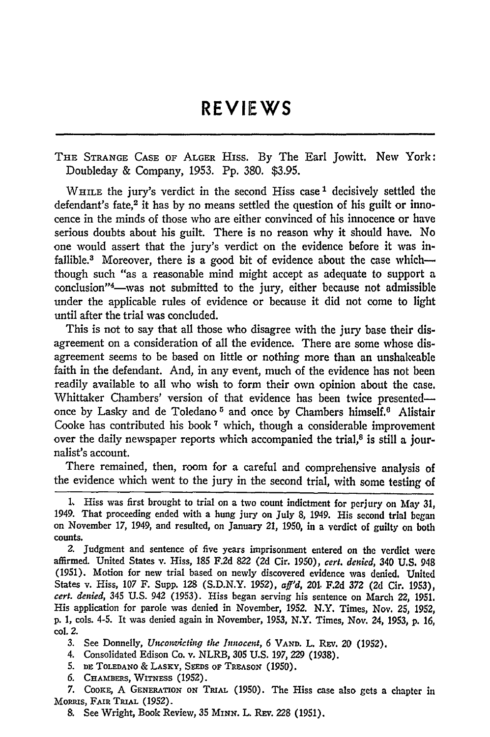## **REVIEWS**

THE **STRANGE CASE** OF ALGER HISS. By The Earl Jowitt. New York: Doubleday & Company, 1953. Pp. 380. \$3.95.

**WHILE** the jury's verdict in the second Hiss case **1** decisively settled the defendant's fate,<sup>2</sup> it has by no means settled the question of his guilt or innocence in the minds of those who are either convinced of his innocence or have serious doubts about his guilt. There is no reason why it should have. No one would assert that the jury's verdict on the evidence before it was infallible.<sup>3</sup> Moreover, there is a good bit of evidence about the case whichthough such "as a reasonable mind might accept as adequate to support a conclusion"<sup>4</sup>—was not submitted to the jury, either because not admissible under the applicable rules of evidence or because it did not come to light until after the trial was concluded.

This is not to say that all those who disagree with the jury base their disagreement on a consideration of all the evidence. There are some whose disagreement seems to be based on little or nothing more than an unshakeable faith in the defendant. And, in any event, much of the evidence has not been readily available to all who wish to form their own opinion about the case. Whittaker Chambers' version of that evidence has been twice presentedonce by Lasky and de Toledano<sup>5</sup> and once by Chambers himself.<sup>6</sup> Alistair Cooke has contributed his book **7** which, though a considerable improvement over the daily newspaper reports which accompanied the trial, $\delta$  is still a journalist's account.

There remained, then, room for a careful and comprehensive analysis of the evidence which went to the jury in the second trial, with some testing of

3. See Donnelly, *Unconvicting the Innocent*, 6 VAND. L. REV. 20 (1952).

4. Consolidated Edison Co. v. NLRB, 305 U.S. 197, *229* (1938).

5. **DE ToLEDANO** & **LASKY, SEEDs** oF TREASON (1950).

*6.* **CHAMBERS, WITNESS** (1952).

7. **CooK, A GENERATION ON** TRIAL. (1950). The Hiss case also gets a chapter in **MORRIS, FAIR TRIAL (1952).** 

**8.** See Wright, Book Review, **35** *MINN.* L. **REv.** 228 (1951).

**<sup>1,</sup>** Hiss was first brought to trial on a two count indictment for perjury on May **31,** 1949. That proceeding ended with a hung jury on July 8, 1949. His second trial began on November 17, 1949, and resulted, on January **21,** 1950, in a verdict of guilty on both counts.

**<sup>2.</sup>** Judgment and sentence of five years imprisonment entered on the verdict were affirmed. United States v. Hiss, **185 F.2d 822** (2d Cir. 1950), *cert. denied,* 340 U.S. 948 **(1951).** Motion for new trial based on newly discovered evidence was denied. United States v. Hiss, **107** F. Supp. 128 **(S.D.N.Y.** 1952), *aff'd,* 201. **F.2d 372** (2d Cir. **1953),** *cert. denied,* 345 **U.S.** 942 (1953). Hiss began serving his sentence on March **22, 1951.** His application for parole was denied in November, **1952.** N.Y. Times, Nov. **25, 1952, p.** 1, cols. 4-5. It was denied again in November, 1953, N.Y. Times, Nov. 24, 1953, **p.** *16,* col. 2.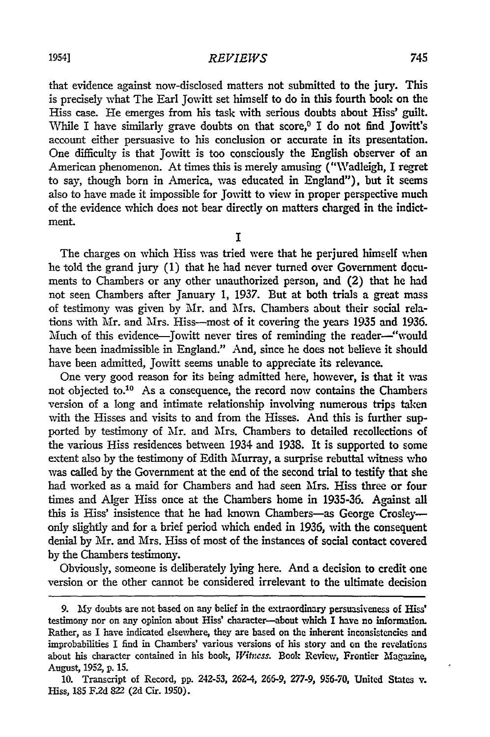## *REVIEWS*

that evidence against now-disclosed matters not submitted to the jury. This is precisely what The Earl Jowitt set himself to do in this fourth book on the Hiss case. He emerges from his task with serious doubts about Hiss' guilt. While I have similarly grave doubts on that  $score<sup>0</sup>$  I do not find Jowitt's account either persuasive to his conclusion or accurate in its presentation. One difficulty is that Jowitt is too consciously the English observer of an American phenomenon. At times this is merely amusing ("Wadleigh, I regret to say, though born in America, was educated in England"), but it seems also to have made it impossible for Jowitt to view in proper perspective much of the evidence which does not bear directly on matters charged in the indictment.

I

The charges on which Hiss was tried were that he perjured himself when he told the grand jury **(1)** that he had never turned over Government documents to Chambers or any other unauthorized person, and (2) that he had not seen Chambers after January **1,** 1937. But at both trials a great mass of testimony was given by Mr. and Mrs. Chambers about their social relations with Mr. and Mrs. Hiss-most of it covering the years **1935** and **1936.** Much of this evidence—Jowitt never tires of reminding the reader—"would have been inadmissible in England." And, since he does not believe it should have been admitted, Jowitt seems unable to appreciate its relevance.

One very good reason for its being admitted here, however, is that it was not objected to.<sup>10</sup> As a consequence, the record now contains the Chambers version of a long and intimate relationship involving numerous trips taken with the Hisses and visits to and from the Hisses. And this is further supported by testimony of *Mr.* and Mrs. Chambers to detailed recollections of the various Hiss residences between 1934 and 1938. It is supported to some extent also by the testimony of Edith Murray, a surprise rebuttal vitness who was called by the Government at the end of the second trial to testify that she had worked as a maid for Chambers and had seen Mrs. Hiss three or four times and Alger Hiss once at the Chambers home in 1935-36. Against all this is Hiss' insistence that he had known Chambers-as George Crosleyonly slightly and for a brief period which ended in 1936, with the consequent denial by Mr. and Mrs. Hiss of most of the instances of social contact covered by the Chambers testimony.

Obviously, someone is deliberately lying here. And a decision to credit one version or the other cannot be considered irrelevant to the ultimate decision

**<sup>9.</sup> My** doubts are not based on any belief in the extraordinary persuasiveness of Hiss' testimony nor on any opinion about Hiss' character-about which I have no information. Rather, as I have indicated elsewhere, they are based on the inherent inconsistencies and improbabilities I find in Chambers' various versions of his story and on the revelations about his character contained in his book, *Witness.* Book Review, Frontier Magazine, August, 1952, **p. 15.**

**<sup>10.</sup>** Transcript of Record, **pp.** 242-53, 262-4, **266-9,** 277-9, **956-70,** United States v. Hiss, **185** F.2d 822 (2d Cir. 1950).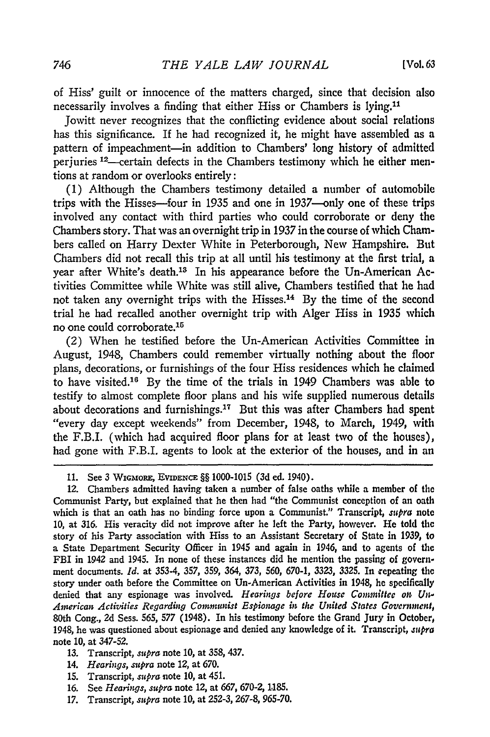of Hiss' guilt or innocence of the matters charged, since that decision also necessarily involves a finding that either Hiss or Chambers is lying.11

Jowitt never recognizes that the conflicting evidence about social relations has this significance. If he **had** recognized it, he might have assembled as a pattern of impeachment-in addition to Chambers' long history of admitted perjuries <sup>12</sup>—certain defects in the Chambers testimony which he either mentions at random or overlooks entirely:

**(1)** Although the Chambers testimony detailed a number of automobile trips with the Hisses-four in **1935** and one in 1937-only one of these trips involved any contact with third parties who could corroborate or deny the Chambers story. That was an overnight trip in **1937** in the course of which Chambers called on Harry Dexter White in Peterborough, New Hampshire. But Chambers did not recall this trip at all until his testimony at the first trial, a year after White's death.13 In his appearance before the Un-American Activities Committee while White was still alive, Chambers testified that he had not taken any overnight trips with the Hisses.14 **By** the time of the second trial he had recalled another overnight trip with Alger Hiss in **1935** which no one could corroborate. <sup>15</sup>

(2) When he testified before the Un-American Activities Committee in August, 1948, Chambers could remember virtually nothing about the floor plans, decorations, or furnishings of the four Hiss residences which he claimed to have visited.16 **By** the time of the trials in 1949 Chambers was able to testify to almost complete floor plans and his wife supplied numerous details about decorations and furnishings.<sup>17</sup> But this was after Chambers had spent "every day except weekends" from December, 1948, to March, 1949, with the F.B.I. (which had acquired floor plans for at least two of the houses), had gone with F.B.I. agents to look at the exterior of the houses, and in an

- **13.** Transcript, *supra* note **10,** at **358,** 437.
- 14. *Hearings, supra* note 12, at **670.**
- **15.** Transcript, *supra* note **10,** at 451.
- **16.** See *Hearings, supra* note 12, at **667, 670-2, 1.185.**
- **17.** Transcript, *supra* note **10,** at *252-3,* **267-8, 965-70.**

**<sup>11.</sup>** See 3 **WIGMORE, EVIDENCE** §§ **1000-1015 (3d** ed. 1940).

<sup>12.</sup> Chambers admitted having taken a number of false oaths while a member of the Communist Party, but explained that he then had "the Communist conception of an oath which is that an oath has no binding force upon a Communist." Transcript, *supra* note **10,** at **316.** His veracity did not improve after he left the Party, however. He told **the** story of his Party association with Hiss to an Assistant Secretary of State in **1939,** to a State Department Security Officer in 1945 and again in 1946, and to agents of the FBI in 1942 and 1945. In none of these instances did he mention the passing of government documents. *Id.* at 353-4, **357, 359,** 364, *373, 560,* **670-1,** *3323, 3325.* In xepeating the story under oath before the Committee on Un-American Activities in 1948, he specifically denied that any espionage was involved. *Hearings before Hotes Comonittec on Un-American Activities Regarding Communist Espionage in the United States Governmcnt,* 80th Cong., **2d** Sess. **565, 577** (1948). In his testimony before the Grand Jury in October, 1948, he was questioned about espionage and denied any knowledge of it. Transcript, *.stpra* note **10,** at **347-52.**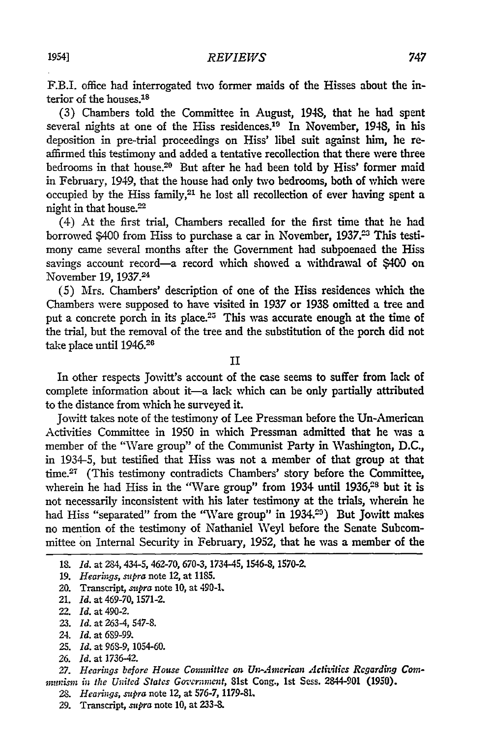F.B.I. office had interrogated two former maids of the Hisses about the interior of the houses.<sup>18</sup>

(3) Chambers told the Committee in August, 1948, that he had spent several nights at one of the Hiss residences.<sup>10</sup> In November, 1948, in his deposition in pre-trial proceedings on Hiss' libel suit against him, he reaffirmed this testimony and added a tentative recollection that there were three bedrooms in that house.20 But after he had been told by Hiss' former maid in February, 1949, that the house had only two bedrooms, both of which were occupied by the Hiss family,<sup>21</sup> he lost all recollection of ever having spent a night in that house.<sup>22</sup>

(4) At the first trial, Chambers recalled for the first time that he had borrowed \$400 from Hiss to purchase a car in November, 1937.<sup>23</sup> This testimony came several months after the Government had subpoenaed the Hiss savings account record—a record which showed a withdrawal of \$400 on November 19, 1937.24

(5) Mrs. Chambers' description of one of the Hiss residences which the Chambers were supposed to have visited in 1937 or 1938 omitted a tree and put a concrete porch in its place.<sup>25</sup> This was accurate enough at the time of the trial, but the removal of the tree and the substitution of the porch did not take place until 1946.26

II

In other respects Jowitt's account of the case seems to suffer from lack of complete information about it-a lack which can be only partially attributed to the distance from which he surveyed it.

Jovitt takes note of the testimony of Lee Pressman before the Un-American Activities Committee in 1950 in which Pressman admitted that he was a member of the "Ware group" of the Communist Party in Washington, D.C., in 1934-5, but testified that Hiss was not a member of that group at that time.<sup>27</sup> (This testimony contradicts Chambers' story before the Committee, wherein he had Hiss in the "Ware group" from 1934 until 1936,<sup>28</sup> but it is not necessarily inconsistent with his later testimony at the trials, wherein he had Hiss "separated" from the "Ware group" in 1934.<sup>29</sup>) But Jowitt makes no mention of the testimony of Nathaniel Weyl before the Senate Subcommittee on Internal Security in February, **1952,** that he was a member of the

- **23.** *Id.* at 263-4, 547-8.
- 24. *Id.* at 6S9-99.
- 25. *Id.* at 96S-9, 1054-60.
- 26. *Id.* at 1736-42.

- *28. Hearings, supra* note 12, at 576-7, 1179-81.
- 29. Transcript, *supra* note **10,** at **233-8.**

<sup>18.</sup> *Id.* at 284,434-5, 462-70, 670-3, 1734-45, 1546-8, 1570-2.

<sup>19.</sup> *Hearings, supra* note 12, at **1185.**

<sup>20.</sup> Transcript, *supra* note **10,** at 490-L

<sup>21.</sup> *Id.* at 469-70, 1571-2.

<sup>22.</sup> *Id.* at 490-2.

<sup>27.</sup> Hearings before House Committee on Un-American Activities Regarding Com*mnnimn in the United States Government,* 81st Cong., 1st Sess. 2844-901 **(1950).**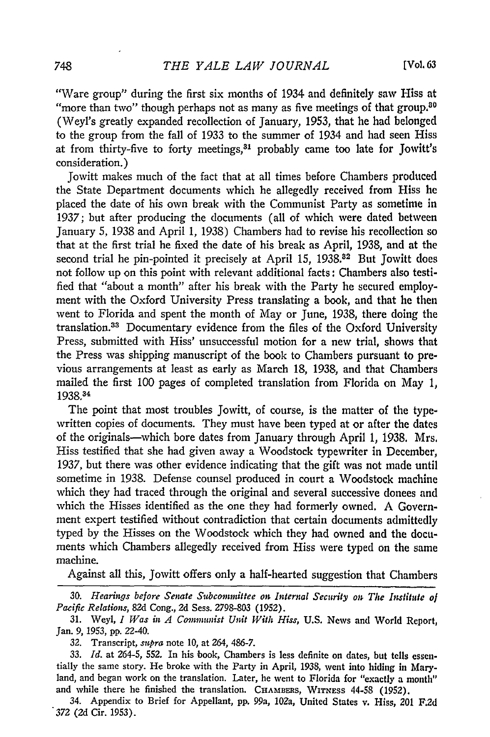"Ware group" during the first six months of 1934 and definitely saw Hiss at "more than two" though perhaps not as many as five meetings of that group. $80$ (Weyl's greatly expanded recollection of January, 1953, that he had belonged to the group from the fall of 1933 to the summer of 1934 and had seen Hiss at from thirty-five to forty meetings,<sup>31</sup> probably came too late for Jowitt's consideration.)

Jowitt makes much of the fact that at all times before Chambers produced the State Department documents which he allegedly received from Hiss he placed the date of his own break with the Communist Party as sometime in 1937; but after producing the documents (all of which were dated between January 5, 1938 and April 1, 1938) Chambers had to revise his recollection so that at the first trial he fixed the date of his break as April, 1938, and at the second trial he pin-pointed it precisely at April 15, 1938.<sup>82</sup> But Jowitt does not follow up on this point with relevant additional facts: Chambers also testified that "about a month" after his break with the Party he secured employment with the Oxford University Press translating a book, and that he then went to Florida and spent the month of May or June, 1938, there doing the translation.<sup>33</sup> Documentary evidence from the files of the Oxford University Press, submitted with Hiss' unsuccessful motion for a new trial, shows that the Press was shipping manuscript of the book to Chambers pursuant to previous arrangements at least as early as March 18, 1938, and that Chambers mailed the first 100 pages of completed translation from Florida on May 1, 1938.34

The point that most troubles Jowitt, of course, is the matter of the typewritten copies of documents. They must have been typed at or after the dates of the originals-which bore dates from January through April *1,* 1938. Mrs. Hiss testified that she had given away a Woodstock typewriter in December, 1937, but there was other evidence indicating that the gift was not made until sometime in 1938. Defense counsel produced in court a Woodstock machine which they had traced through the original and several successive donees and which the Hisses identified as the one they had formerly owned. A Government expert testified without contradiction that certain documents admittedly typed by the Hisses on the Woodstock which they had owned and the documents which Chambers allegedly received from Hiss were typed on the same machine.

Against all this, Jowitt offers only a half-hearted suggestion that Chambers

**30.** *Hearings before Senate Subcommittee on Internal Security on The Institute of Pacific Relations,* 82d Cong., 2d Sess. 2798-803 (1952).

31. Weyl, *I Was in A Communist Unit With Hiss,* U.S. News and World Report, Jan. 9, 1953, pp. 22-40.

32. Transcript, *supra* note 10, at 264, 486-7.

33. *Id.* at 264-5, 552. In his book, Chambers is less definite on dates, but tells essentially the same story. He broke with the Party in April, 1938, went into hiding in Maryland, and began work on the translation. Later, he went to Florida for "exactly a month" and while there he finished the translation. CHAMBERS, WITNESS 44-58 (1952).

34. Appendix to Brief for Appellant, pp. 99a, 102a, United States v. Hiss, *201* F.2d *372* (2d Cir. 1953).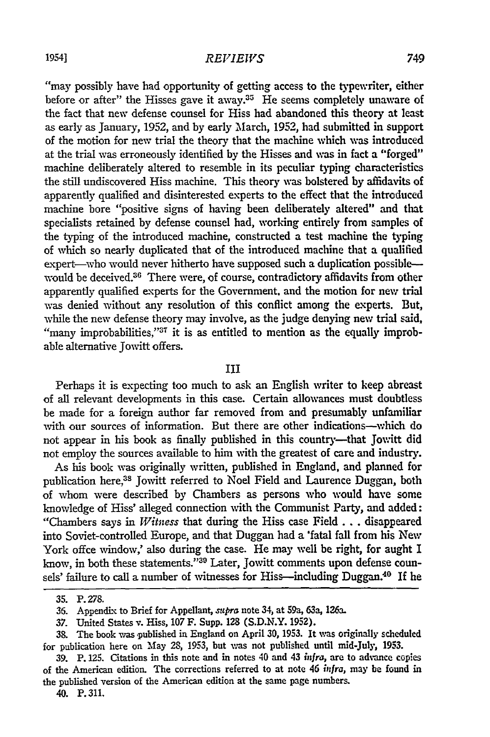## *REVIEWS*

"may possibly have had opportunity of getting access to the typewriter, either before or after" the Hisses gave it away.<sup>35</sup> He seems completely unaware of the fact that new defense counsel for Hiss had abandoned this theory at least as early as January, 1952, and by early March, 1952, had submitted in support of the motion for new trial the theory that the machine which was introduced at the trial was erroneously identified by the Hisses and was in fact a "forged" machine deliberately altered to resemble in its peculiar typing characteristics the still undiscovered Hiss machine. This theory was bolstered by affidavits of apparently qualified and disinterested experts to the effect that the introduced machine bore "positive signs of having been deliberately altered" and that specialists retained by defense counsel had, working entirely from samples of the typing of the introduced machine, constructed a test machine the typing of which so nearly duplicated that of the introduced machine that a qualified expert--who would never hitherto have supposed such a duplication possible-would be deceived.<sup>36</sup> There were, of course, contradictory affidavits from other apparently qualified experts for the Government, and the motion for new trial was denied without any resolution of this conflict among the experts. But, while the new defense theory may involve, as the judge denying new trial said, "many improbabilities,"<sup>37</sup> it is as entitled to mention as the equally improbable alternative Jowitt offers.

## III

Perhaps it is expecting too much to ask an English writer to keep abreast of all relevant developments in this case. Certain allowances must doubtless be made for a foreign author far removed from and presumably unfamiliar with our sources of information. But there are other indications-which do not appear in his book as finally published in this country-that Jowitt did not employ the sources available to him with the greatest of care and industry.

As his book was originally written, published in England, and planned for publication here,<sup>38</sup> Jowitt referred to Noel Field and Laurence Duggan, both of whom were described by Chambers as persons who would have some knowledge of Hiss' alleged connection with the Communist Party, and added: "Chambers says in *Witness* that during the Hiss case Field... disappeared into Soviet-controlled Europe, and that Duggan had a 'fatal fall from his New York offce window,' also during the case. He may well be right, for aught I know, in both these statements."30 Later, Jowitt comments upon defense counsels' failure to call a number of witnesses for Hiss-including Duggan.<sup>40</sup> If he

40. P. 311.

**<sup>35.</sup>** P. **278.**

**<sup>36.</sup>** Appendix to Brief for Appellant, *supra* note 34, at 59a, 63a, 126a.

<sup>37.</sup> United States v. Hiss, 107 F. Supp. **128** (S.D.N.Y. 1952).

<sup>38.</sup> The book was published in England on April 30, 1953. It was originally scheduled for publication here on May 28, **1953,** but was not published until mid-July, **1953.**

**<sup>39.</sup>** P. **125.** Citations in this note and in notes 40 and 43 *in fra,* are to advance copies of the American edition. The corrections referred to at note **46** *infra,* may be **found** in the published version of the American edition at the same page numbers.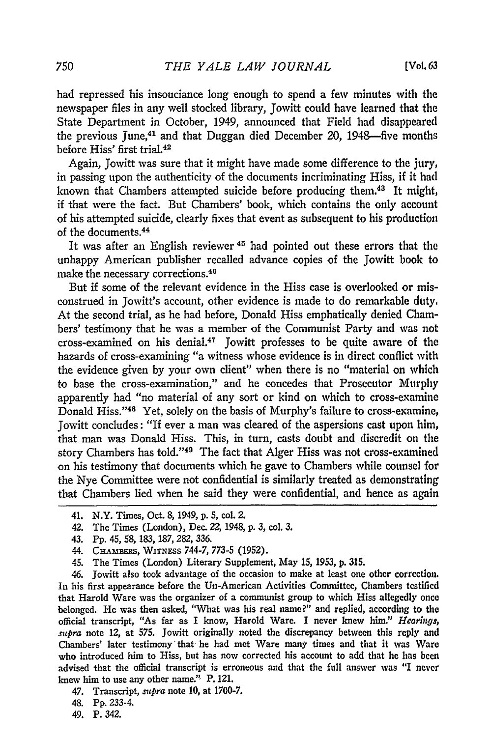had repressed his insouciance long enough to spend a few minutes with the newspaper files in any well stocked library, Jowitt could have learned that the State Department in October, 1949, announced that Field had disappeared the previous June,<sup>41</sup> and that Duggan died December 20, 1948-five months before Hiss' first trial.<sup>42</sup>

Again, Jowitt was sure that it might have made some difference to the jury, in passing upon the authenticity of the documents incriminating Hiss, if it had known that Chambers attempted suicide before producing them.48 It might, if that were the fact. But Chambers' book, which contains the only account of his attempted suicide, clearly fixes that event as subsequent to his production of the documents. <sup>44</sup>

It was after an English reviewer<sup>45</sup> had pointed out these errors that the unhappy American publisher recalled advance copies of the Jowitt **book** to make the necessary corrections. <sup>46</sup>

But if some of the relevant evidence in the Hiss case is overlooked or misconstrued in Jowitt's account, other evidence is made to do remarkable duty. At the second trial, as he had before, Donald Hiss emphatically denied Chambers' testimony that he was a member of the Communist Party and was not cross-examined on his denial.47 Jowitt professes to be quite aware of the hazards of cross-examining "a witness whose evidence is in direct conflict with the evidence given by your own client" when there is no "material on which to base the cross-examination," and he concedes that Prosecutor Murphy apparently had "no material of any sort or kind on which to cross-examine Donald Hiss."<sup>48</sup> Yet, solely on the basis of Murphy's failure to cross-examine, Jowitt concludes: "If ever a man was cleared of the aspersions cast upon him, that man was Donald Hiss. This, in turn, casts doubt and discredit on the story Chambers has told."<sup>49</sup> The fact that Alger Hiss was not cross-examined on his testimony that documents which he gave to Chambers while counsel for the Nye Committee were not confidential is similarly treated as demonstrating that Chambers lied when he said they were confidential, and hence as again

45. The Times (London) Literary Supplement, May **15, 1953, p. 315.**

46. Jowitt also took advantage of the occasion to make at least one other correction. In his first appearance before the Un-American Activities Committee, Chambers testified that Harold Ware was the organizer of a communist group to which Hiss allegedly once belonged. He was then asked, "What was his real name?" and replied, according to the official transcript, "As far as I know, Harold Ware. I never knew him." *Hearings,* supra note 12, at **575.** Jowitt originally noted the discrepancy between this reply and Chambers' later testimony that he had met Ware many times and that it was Ware who introduced him to Hiss, but has now corrected his account to add that he has been advised that the official transcript is erroneous and that the full answer was "I never knew him to use any other name." P. 121.

47. Transcript, *supra* note **10,** at **1700-7.**

48. **Pp.** 233-4.

49. P. 342.

<sup>41.</sup> N.Y. Times, Oct. 8, 1949, p. 5, col. 2.

<sup>42.</sup> The Times (London), Dec. 22, 1948, **p.** 3, col. 3.

<sup>43.</sup> **Pp. 45,** *58,* 183, 187, 282, 336.

<sup>44.</sup> CHAMBERS, WITNEsS 744-7, **773-5 (1952).**